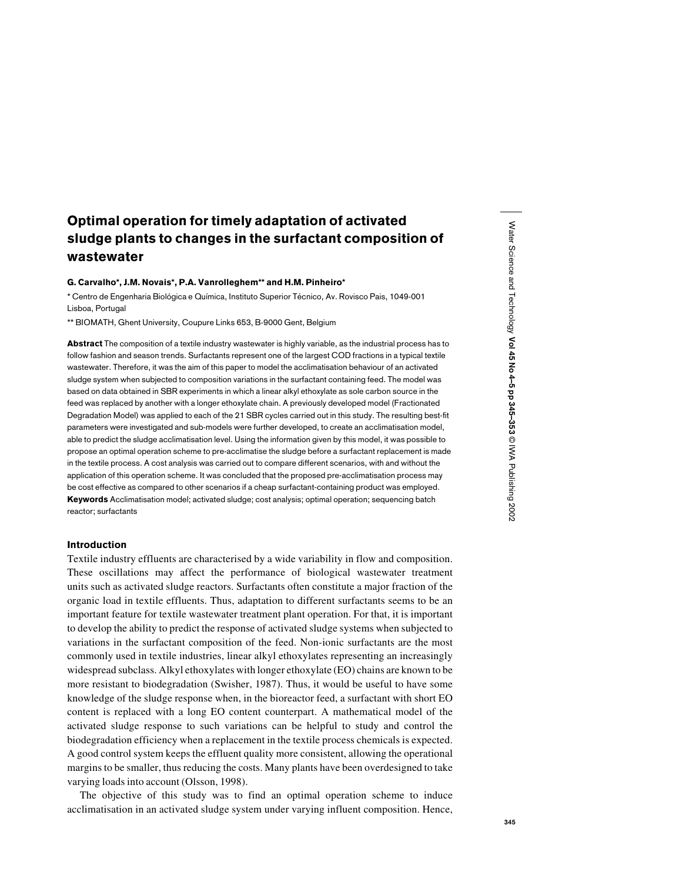# Optimal operation for timely adaptation of activated sludge plants to changes in the surfactant composition of wastewater

## G. Carvalho\*, J.M. Novais\*, P.A. Vanrolleghem\*\* and H.M. Pinheiro\*

\* Centro de Engenharia Biológica e Química, Instituto Superior Técnico, Av. Rovisco Pais, 1049-001 Lisboa, Portugal

\*\* BIOMATH, Ghent University, Coupure Links 653, B-9000 Gent, Belgium

Abstract The composition of a textile industry wastewater is highly variable, as the industrial process has to follow fashion and season trends. Surfactants represent one of the largest COD fractions in a typical textile wastewater. Therefore, it was the aim of this paper to model the acclimatisation behaviour of an activated sludge system when subjected to composition variations in the surfactant containing feed. The model was based on data obtained in SBR experiments in which a linear alkyl ethoxylate as sole carbon source in the feed was replaced by another with a longer ethoxylate chain. A previously developed model (Fractionated Degradation Model) was applied to each of the 21 SBR cycles carried out in this study. The resulting best-fit parameters were investigated and sub-models were further developed, to create an acclimatisation model, able to predict the sludge acclimatisation level. Using the information given by this model, it was possible to propose an optimal operation scheme to pre-acclimatise the sludge before a surfactant replacement is made in the textile process. A cost analysis was carried out to compare different scenarios, with and without the application of this operation scheme. It was concluded that the proposed pre-acclimatisation process may be cost effective as compared to other scenarios if a cheap surfactant-containing product was employed. Keywords Acclimatisation model; activated sludge; cost analysis; optimal operation; sequencing batch reactor; surfactants

# Introduction

Textile industry effluents are characterised by a wide variability in flow and composition. These oscillations may affect the performance of biological wastewater treatment units such as activated sludge reactors. Surfactants often constitute a major fraction of the organic load in textile effluents. Thus, adaptation to different surfactants seems to be an important feature for textile wastewater treatment plant operation. For that, it is important to develop the ability to predict the response of activated sludge systems when subjected to variations in the surfactant composition of the feed. Non-ionic surfactants are the most commonly used in textile industries, linear alkyl ethoxylates representing an increasingly widespread subclass. Alkyl ethoxylates with longer ethoxylate (EO) chains are known to be more resistant to biodegradation (Swisher, 1987). Thus, it would be useful to have some knowledge of the sludge response when, in the bioreactor feed, a surfactant with short EO content is replaced with a long EO content counterpart. A mathematical model of the activated sludge response to such variations can be helpful to study and control the biodegradation efficiency when a replacement in the textile process chemicals is expected. A good control system keeps the effluent quality more consistent, allowing the operational margins to be smaller, thus reducing the costs. Many plants have been overdesigned to take varying loads into account (Olsson, 1998).

The objective of this study was to find an optimal operation scheme to induce acclimatisation in an activated sludge system under varying influent composition. Hence,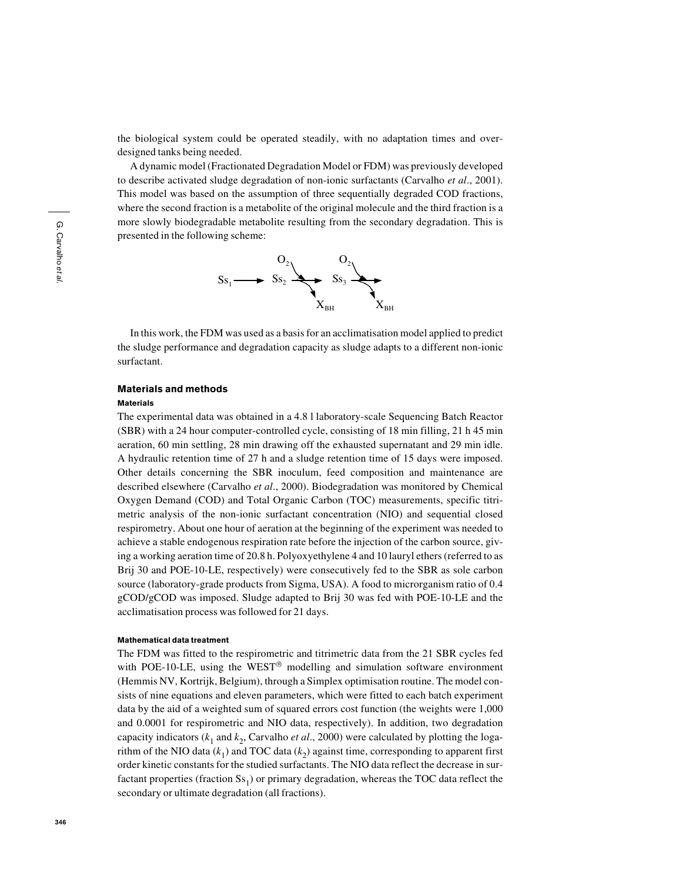the biological system could be operated steadily, with no adaptation times and overdesigned tanks being needed.

A dynamic model (Fractionated Degradation Model or FDM) was previously developed to describe activated sludge degradation of non-ionic surfactants (Carvalho *et al*., 2001). This model was based on the assumption of three sequentially degraded COD fractions, where the second fraction is a metabolite of the original molecule and the third fraction is a more slowly biodegradable metabolite resulting from the secondary degradation. This is presented in the following scheme:



In this work, the FDM was used as a basis for an acclimatisation model applied to predict the sludge performance and degradation capacity as sludge adapts to a different non-ionic surfactant.

# Materials and methods

#### Materials

The experimental data was obtained in a 4.8 l laboratory-scale Sequencing Batch Reactor (SBR) with a 24 hour computer-controlled cycle, consisting of 18 min filling, 21 h 45 min aeration, 60 min settling, 28 min drawing off the exhausted supernatant and 29 min idle. A hydraulic retention time of 27 h and a sludge retention time of 15 days were imposed. Other details concerning the SBR inoculum, feed composition and maintenance are described elsewhere (Carvalho *et al*., 2000). Biodegradation was monitored by Chemical Oxygen Demand (COD) and Total Organic Carbon (TOC) measurements, specific titrimetric analysis of the non-ionic surfactant concentration (NIO) and sequential closed respirometry. About one hour of aeration at the beginning of the experiment was needed to achieve a stable endogenous respiration rate before the injection of the carbon source, giving a working aeration time of 20.8 h. Polyoxyethylene 4 and 10 lauryl ethers (referred to as Brij 30 and POE-10-LE, respectively) were consecutively fed to the SBR as sole carbon source (laboratory-grade products from Sigma, USA). A food to microrganism ratio of 0.4 gCOD/gCOD was imposed. Sludge adapted to Brij 30 was fed with POE-10-LE and the acclimatisation process was followed for 21 days.

#### Mathematical data treatment

The FDM was fitted to the respirometric and titrimetric data from the 21 SBR cycles fed with POE-10-LE, using the WEST<sup>®</sup> modelling and simulation software environment (Hemmis NV, Kortrijk, Belgium), through a Simplex optimisation routine. The model consists of nine equations and eleven parameters, which were fitted to each batch experiment data by the aid of a weighted sum of squared errors cost function (the weights were 1,000 and 0.0001 for respirometric and NIO data, respectively). In addition, two degradation capacity indicators  $(k_1 \text{ and } k_2)$ , Carvalho *et al.*, 2000) were calculated by plotting the logarithm of the NIO data  $(k_1)$  and TOC data  $(k_2)$  against time, corresponding to apparent first order kinetic constants for the studied surfactants. The NIO data reflect the decrease in surfactant properties (fraction  $S_{51}$ ) or primary degradation, whereas the TOC data reflect the secondary or ultimate degradation (all fractions).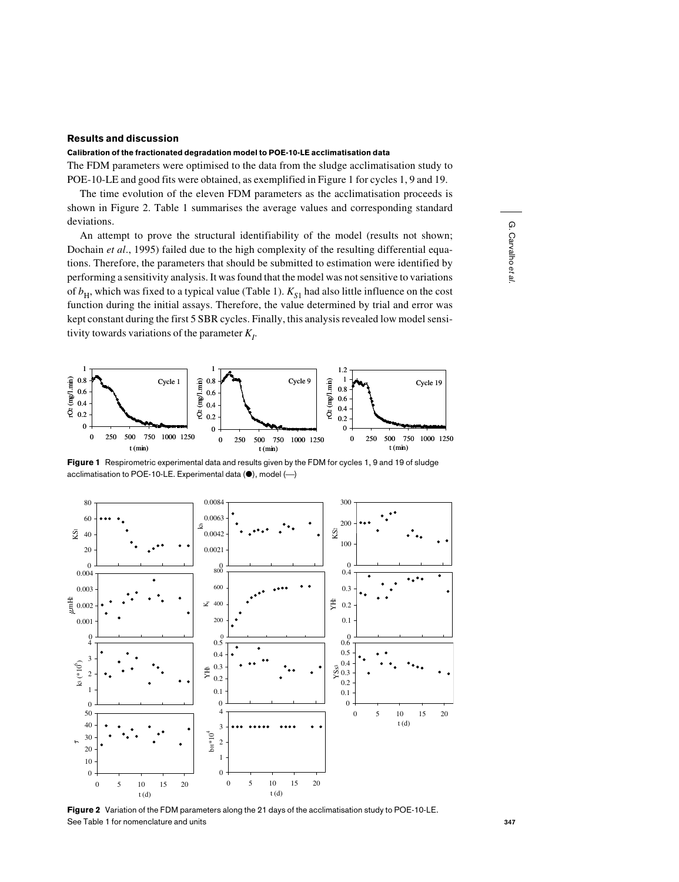# Results and discussion

### Calibration of the fractionated degradation model to POE-10-LE acclimatisation data

The FDM parameters were optimised to the data from the sludge acclimatisation study to POE-10-LE and good fits were obtained, as exemplified in Figure 1 for cycles 1, 9 and 19.

The time evolution of the eleven FDM parameters as the acclimatisation proceeds is shown in Figure 2. Table 1 summarises the average values and corresponding standard deviations.

An attempt to prove the structural identifiability of the model (results not shown; Dochain *et al*., 1995) failed due to the high complexity of the resulting differential equations. Therefore, the parameters that should be submitted to estimation were identified by performing a sensitivity analysis. It was found that the model was not sensitive to variations of  $b_H$ , which was fixed to a typical value (Table 1).  $K_{S1}$  had also little influence on the cost function during the initial assays. Therefore, the value determined by trial and error was kept constant during the first 5 SBR cycles. Finally, this analysis revealed low model sensitivity towards variations of the parameter  $K_p$ .



Figure 1 Respirometric experimental data and results given by the FDM for cycles 1, 9 and 19 of sludge acclimatisation to POE-10-LE. Experimental data  $(\bullet)$ , model  $(\cdot-)$ 



Figure 2 Variation of the FDM parameters along the 21 days of the acclimatisation study to POE-10-LE. See Table 1 for nomenclature and units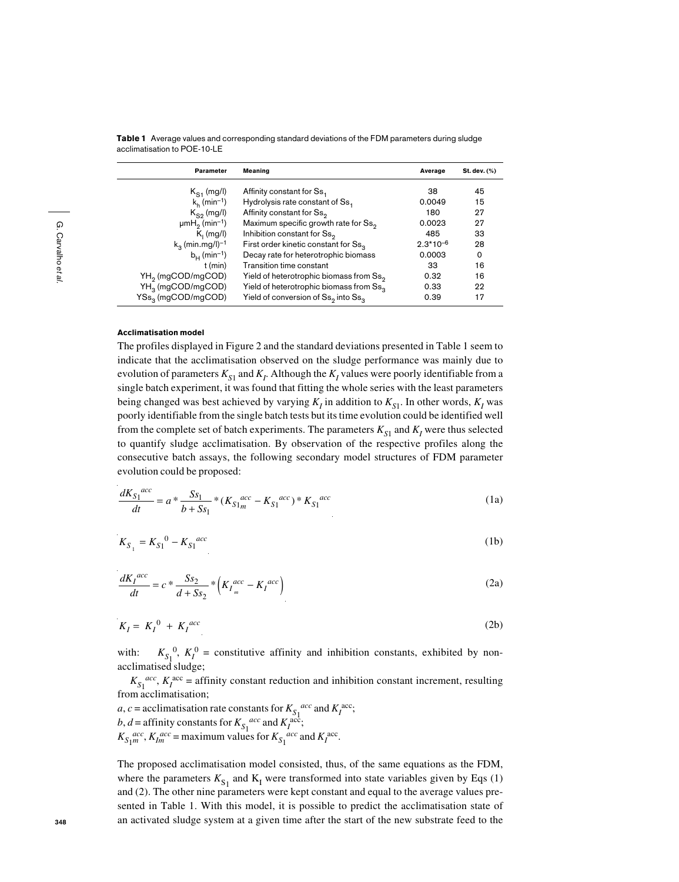**Table 1** Average values and corresponding standard deviations of the FDM parameters during sludge acclimatisation to POF-10-LE

| <b>Parameter</b><br>Meaning                |                                                             | Average       | St. dev. (%) |
|--------------------------------------------|-------------------------------------------------------------|---------------|--------------|
| $K_{S1}$ (mg/l)                            | Affinity constant for Ss,                                   | 38            | 45           |
| $k_h$ (min <sup>-1</sup> )                 | Hydrolysis rate constant of Ss <sub>1</sub>                 | 0.0049        | 15           |
| $K_{\alpha}$ (mg/l)                        | Affinity constant for Ss <sub>o</sub>                       | 180           | 27           |
| $\mu$ mH <sub>2</sub> (min <sup>-1</sup> ) | Maximum specific growth rate for Ss <sub>2</sub>            | 0.0023        | 27           |
| $K_i$ (mg/l)                               | Inhibition constant for Ss <sub>2</sub>                     | 485           | 33           |
| $k_2$ (min.mg/l) <sup>-1</sup>             | First order kinetic constant for Ss <sub>3</sub>            | $2.3*10^{-6}$ | 28           |
| $b_{\text{H}}$ (min <sup>-1</sup> )        | Decay rate for heterotrophic biomass                        | 0.0003        | 0            |
| $t$ (min)                                  | Transition time constant                                    | 33            | 16           |
| YH <sub>2</sub> (mgCOD/mgCOD)              | Yield of heterotrophic biomass from Ss <sub>2</sub>         | 0.32          | 16           |
| YH <sub>3</sub> (mgCOD/mgCOD)              | Yield of heterotrophic biomass from Ss <sub>3</sub>         | 0.33          | 22           |
| YSs <sub>3</sub> (mgCOD/mgCOD)             | Yield of conversion of Ss <sub>2</sub> into Ss <sub>3</sub> | 0.39          | 17           |

## Acclimatisation model

The profiles displayed in Figure 2 and the standard deviations presented in Table 1 seem to indicate that the acclimatisation observed on the sludge performance was mainly due to evolution of parameters  $K_{S1}$  and  $K_I$ . Although the  $K_I$  values were poorly identifiable from a single batch experiment, it was found that fitting the whole series with the least parameters being changed was best achieved by varying  $K_i$  in addition to  $K_{\text{c1}}$ . In other words,  $K_i$  was poorly identifiable from the single batch tests but its time evolution could be identified well from the complete set of batch experiments. The parameters  $K_{S1}$  and  $K_I$  were thus selected to quantify sludge acclimatisation. By observation of the respective profiles along the consecutive batch assays, the following secondary model structures of FDM parameter evolution could be proposed:

$$
\frac{dK_{S_1}^{acc}}{dt} = a * \frac{S_{S_1}}{b + S_{S_1}} * (K_{S_1}^{acc} - K_{S_1}^{acc}) * K_{S_1}^{acc}
$$
\n(1a)

$$
K_{S_1} = K_{S_1}{}^0 - K_{S_1}{}^{acc} \tag{1b}
$$

$$
\frac{dK_I^{acc}}{dt} = c \cdot \frac{Ss_2}{d + Ss_2} \cdot \left( K_I^{acc}_{m} - K_I^{acc} \right) \tag{2a}
$$

$$
K_I = K_I^0 + K_I^{acc} \tag{2b}
$$

with:  $K_{S_1}^0$ ,  $K_I^0$  = constitutive affinity and inhibition constants, exhibited by nonacclimatised sludge;

 $K_{S_1}^{acc}$ ,  $K_I^{acc}$  = affinity constant reduction and inhibition constant increment, resulting from acclimatisation;

 $a, c$  = acclimatisation rate constants for  $K_{S_1}^{acc}$  and  $K_I^{acc}$ ;  $b, d$  = affinity constants for  $K_{S_1}^{acc}$  and  $K_I^{acc}$ ;  $K_{S_1}^{acc}$ ,  $K_{Im}^{acc}$  = maximum values for  $K_{S_1}^{acc}$  and  $K_I^{acc}$ .

The proposed acclimatisation model consisted, thus, of the same equations as the FDM, where the parameters  $K_{S_1}$  and  $K_I$  were transformed into state variables given by Eqs (1) and (2). The other nine parameters were kept constant and equal to the average values presented in Table 1. With this model, it is possible to predict the acclimatisation state of an activated sludge system at a given time after the start of the new substrate feed to the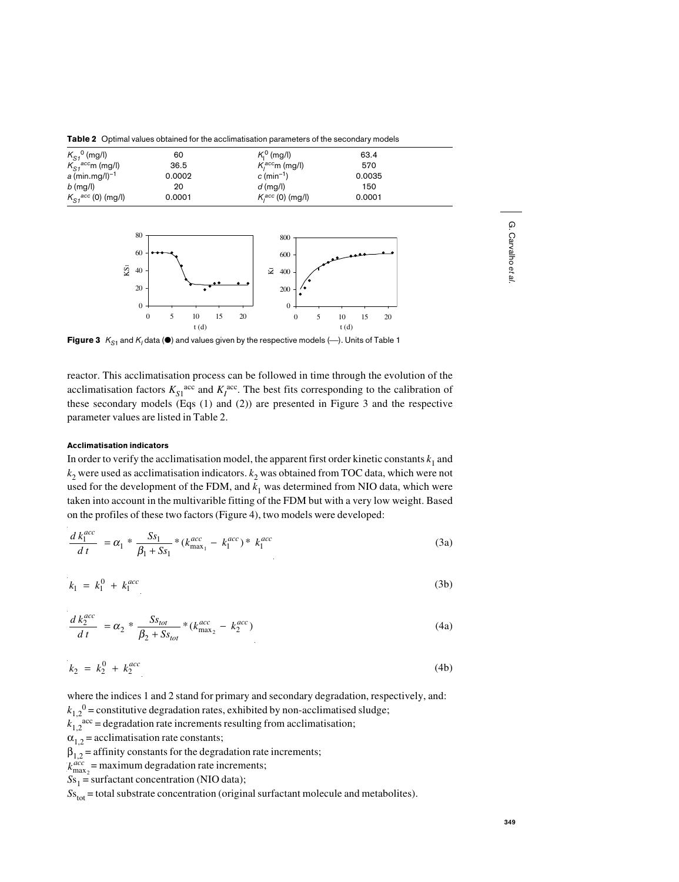**Table 2** Optimal values obtained for the acclimatisation parameters of the secondary models



**Figure 3**  $K_{\text{S1}}$  and  $K_1$  data ( $\bullet$ ) and values given by the respective models ( $\leftarrow$ ). Units of Table 1

reactor. This acclimatisation process can be followed in time through the evolution of the acclimatisation factors  $K_{S1}^{\text{acc}}$  and  $K_I^{\text{acc}}$ . The best fits corresponding to the calibration of these secondary models (Eqs (1) and (2)) are presented in Figure 3 and the respective parameter values are listed in Table 2.

## Acclimatisation indicators

In order to verify the acclimatisation model, the apparent first order kinetic constants  $k_1$  and  $k_2$  were used as acclimatisation indicators.  $k_2$  was obtained from TOC data, which were not used for the development of the FDM, and  $k_1$  was determined from NIO data, which were taken into account in the multivarible fitting of the FDM but with a very low weight. Based on the profiles of these two factors (Figure 4), two models were developed:

$$
\frac{d k_1^{acc}}{d t} = \alpha_1 * \frac{S s_1}{\beta_1 + S s_1} * (k_{\text{max}_1}^{acc} - k_1^{acc}) * k_1^{acc}
$$
\n(3a)

$$
k_1 = k_1^0 + k_1^{acc} \tag{3b}
$$

$$
\frac{d k_2^{acc}}{d t} = \alpha_2 * \frac{S_{tot}}{\beta_2 + S_{tot}} * (k_{\text{max}_2}^{acc} - k_2^{acc})
$$
\n(4a)

$$
k_2 = k_2^0 + k_2^{acc} \tag{4b}
$$

where the indices 1 and 2 stand for primary and secondary degradation, respectively, and:  $k_{1,2}^0$  = constitutive degradation rates, exhibited by non-acclimatised sludge;  $k_1$ ,  $\alpha$ <sup>2</sup> = degradation rate increments resulting from acclimatisation;  $\alpha_{12}$  = acclimatisation rate constants;  $\beta_{12}$  = affinity constants for the degradation rate increments;  $k_{\text{max}_2}^{acc}$  = maximum degradation rate increments;  $Ss_1$  = surfactant concentration (NIO data);  $S_{\text{S}_{\text{tot}}}$  = total substrate concentration (original surfactant molecule and metabolites).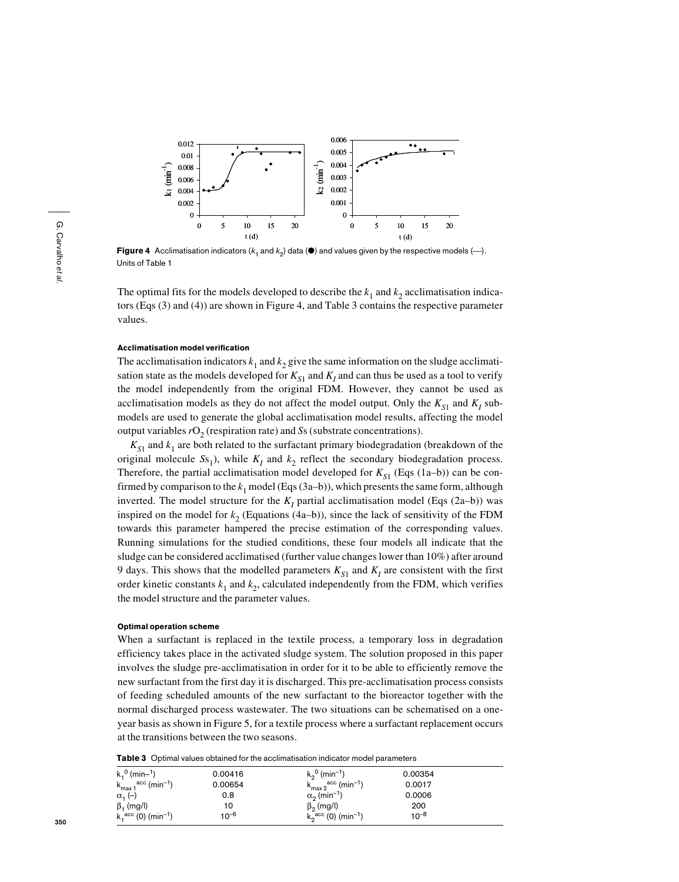

Figure 4 Acclimatisation indicators  $(k_1 \text{ and } k_2)$  data ( $\bullet$ ) and values given by the respective models  $(-)$ . Units of Table 1

The optimal fits for the models developed to describe the  $k_1$  and  $k_2$  acclimatisation indicators (Eqs (3) and (4)) are shown in Figure 4, and Table 3 contains the respective parameter values.

# Acclimatisation model verification

The acclimatisation indicators  $k_1$  and  $k_2$  give the same information on the sludge acclimatisation state as the models developed for  $K_{S1}$  and  $K_I$  and can thus be used as a tool to verify the model independently from the original FDM. However, they cannot be used as acclimatisation models as they do not affect the model output. Only the  $K_{S1}$  and  $K_I$  submodels are used to generate the global acclimatisation model results, affecting the model output variables  $rO<sub>2</sub>$  (respiration rate) and *S*s (substrate concentrations).

 $K_{S1}$  and  $k_1$  are both related to the surfactant primary biodegradation (breakdown of the original molecule  $S_{51}$ ), while  $K_I$  and  $k_2$  reflect the secondary biodegradation process. Therefore, the partial acclimatisation model developed for  $K_{S1}$  (Eqs (1a–b)) can be confirmed by comparison to the  $k_1$  model (Eqs (3a–b)), which presents the same form, although inverted. The model structure for the  $K_I$  partial acclimatisation model (Eqs (2a–b)) was inspired on the model for  $k_2$  (Equations (4a–b)), since the lack of sensitivity of the FDM towards this parameter hampered the precise estimation of the corresponding values. Running simulations for the studied conditions, these four models all indicate that the sludge can be considered acclimatised (further value changes lower than 10%) after around 9 days. This shows that the modelled parameters  $K_{S1}$  and  $K_I$  are consistent with the first order kinetic constants  $k_1$  and  $k_2$ , calculated independently from the FDM, which verifies the model structure and the parameter values.

#### Optimal operation scheme

When a surfactant is replaced in the textile process, a temporary loss in degradation efficiency takes place in the activated sludge system. The solution proposed in this paper involves the sludge pre-acclimatisation in order for it to be able to efficiently remove the new surfactant from the first day it is discharged. This pre-acclimatisation process consists of feeding scheduled amounts of the new surfactant to the bioreactor together with the normal discharged process wastewater. The two situations can be schematised on a oneyear basis as shown in Figure 5, for a textile process where a surfactant replacement occurs at the transitions between the two seasons.

|  |  |  |  | <b>Table 3</b> Optimal values obtained for the acclimatisation indicator model parameters |  |
|--|--|--|--|-------------------------------------------------------------------------------------------|--|
|--|--|--|--|-------------------------------------------------------------------------------------------|--|

| $k1^{0}$ (min-1)                                             | 0.00416   | $k_0^0$ (min <sup>-1</sup> )                  | 0.00354   |  |
|--------------------------------------------------------------|-----------|-----------------------------------------------|-----------|--|
| $, ^\mathrm{acc}$ (min <sup>-1</sup> )<br>$k_{\text{max }1}$ | 0.00654   | $k_{max 2}^{\text{acc}}$ (min <sup>-1</sup> ) | 0.0017    |  |
| $\alpha$ <sub>1</sub> (-)                                    | 0.8       | $\alpha_0$ (min <sup>-1</sup> )               | 0.0006    |  |
| $\beta_1$ (mg/l)                                             | 10        | $\beta_2$ (mg/l)                              | 200       |  |
| $k_1^{\text{acc}}$ (0) (min <sup>-1</sup> )                  | $10^{-6}$ | $k_2^{\text{acc}}$ (0) (min <sup>-1</sup> )   | $10^{-8}$ |  |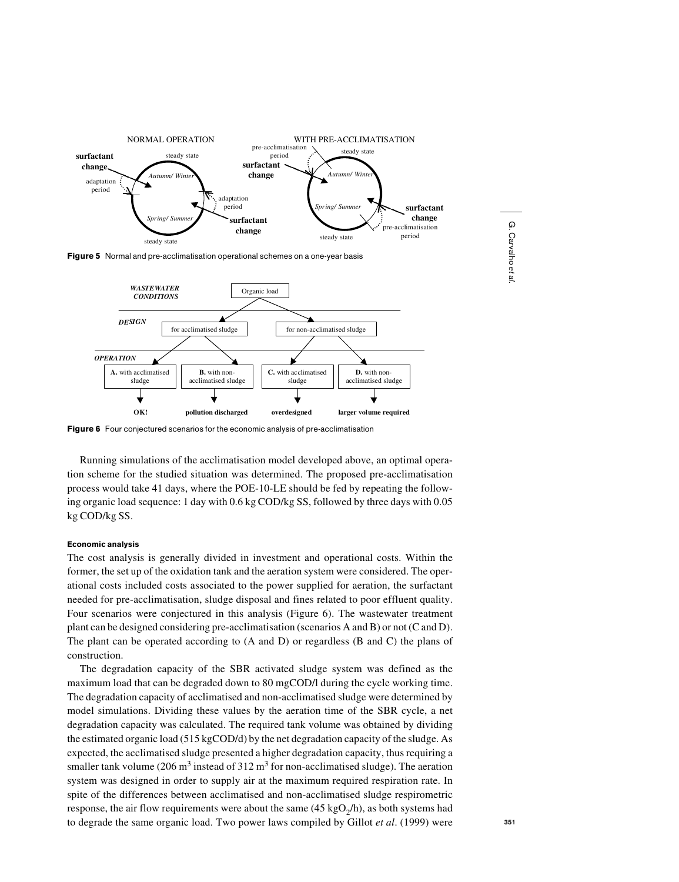

Figure 5 Normal and pre-acclimatisation operational schemes on a one-year basis



Figure 6 Four conjectured scenarios for the economic analysis of pre-acclimatisation

Running simulations of the acclimatisation model developed above, an optimal operation scheme for the studied situation was determined. The proposed pre-acclimatisation process would take 41 days, where the POE-10-LE should be fed by repeating the following organic load sequence: 1 day with 0.6 kg COD/kg SS, followed by three days with 0.05 kg COD/kg SS.

## Economic analysis

The cost analysis is generally divided in investment and operational costs. Within the former, the set up of the oxidation tank and the aeration system were considered. The operational costs included costs associated to the power supplied for aeration, the surfactant needed for pre-acclimatisation, sludge disposal and fines related to poor effluent quality. Four scenarios were conjectured in this analysis (Figure 6). The wastewater treatment plant can be designed considering pre-acclimatisation (scenarios A and B) or not (C and D). The plant can be operated according to (A and D) or regardless (B and C) the plans of construction.

The degradation capacity of the SBR activated sludge system was defined as the maximum load that can be degraded down to 80 mgCOD/l during the cycle working time. The degradation capacity of acclimatised and non-acclimatised sludge were determined by model simulations. Dividing these values by the aeration time of the SBR cycle, a net degradation capacity was calculated. The required tank volume was obtained by dividing the estimated organic load (515 kgCOD/d) by the net degradation capacity of the sludge. As expected, the acclimatised sludge presented a higher degradation capacity, thus requiring a smaller tank volume (206 m<sup>3</sup> instead of 312 m<sup>3</sup> for non-acclimatised sludge). The aeration system was designed in order to supply air at the maximum required respiration rate. In spite of the differences between acclimatised and non-acclimatised sludge respirometric response, the air flow requirements were about the same  $(45 \text{ kgO}_2/h)$ , as both systems had to degrade the same organic load. Two power laws compiled by Gillot *et al*. (1999) were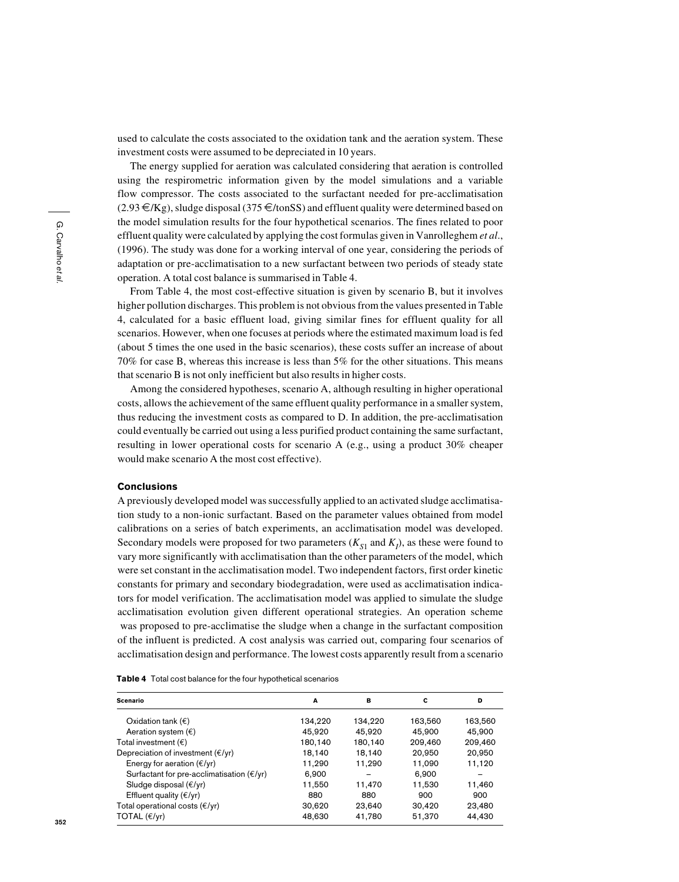used to calculate the costs associated to the oxidation tank and the aeration system. These investment costs were assumed to be depreciated in 10 years.

The energy supplied for aeration was calculated considering that aeration is controlled using the respirometric information given by the model simulations and a variable flow compressor. The costs associated to the surfactant needed for pre-acclimatisation  $(2.93 \in K)$ , sludge disposal (375  $\in$ /tonSS) and effluent quality were determined based on the model simulation results for the four hypothetical scenarios. The fines related to poor effluent quality were calculated by applying the cost formulas given in Vanrolleghem *et al*., (1996). The study was done for a working interval of one year, considering the periods of adaptation or pre-acclimatisation to a new surfactant between two periods of steady state operation. A total cost balance is summarised in Table 4.

From Table 4, the most cost-effective situation is given by scenario B, but it involves higher pollution discharges. This problem is not obvious from the values presented in Table 4, calculated for a basic effluent load, giving similar fines for effluent quality for all scenarios. However, when one focuses at periods where the estimated maximum load is fed (about 5 times the one used in the basic scenarios), these costs suffer an increase of about 70% for case B, whereas this increase is less than 5% for the other situations. This means that scenario B is not only inefficient but also results in higher costs.

Among the considered hypotheses, scenario A, although resulting in higher operational costs, allows the achievement of the same effluent quality performance in a smaller system, thus reducing the investment costs as compared to D. In addition, the pre-acclimatisation could eventually be carried out using a less purified product containing the same surfactant, resulting in lower operational costs for scenario A (e.g., using a product 30% cheaper would make scenario A the most cost effective).

# Conclusions

A previously developed model was successfully applied to an activated sludge acclimatisation study to a non-ionic surfactant. Based on the parameter values obtained from model calibrations on a series of batch experiments, an acclimatisation model was developed. Secondary models were proposed for two parameters  $(K_{S1}$  and  $K_l$ ), as these were found to vary more significantly with acclimatisation than the other parameters of the model, which were set constant in the acclimatisation model. Two independent factors, first order kinetic constants for primary and secondary biodegradation, were used as acclimatisation indicators for model verification. The acclimatisation model was applied to simulate the sludge acclimatisation evolution given different operational strategies. An operation scheme was proposed to pre-acclimatise the sludge when a change in the surfactant composition of the influent is predicted. A cost analysis was carried out, comparing four scenarios of acclimatisation design and performance. The lowest costs apparently result from a scenario

Table 4 Total cost balance for the four hypothetical scenarios

| Scenario                                                 | A       | в       | c       | D       |
|----------------------------------------------------------|---------|---------|---------|---------|
| Oxidation tank $(\epsilon)$                              | 134.220 | 134.220 | 163,560 | 163,560 |
| Aeration system $(\epsilon)$                             | 45,920  | 45,920  | 45.900  | 45,900  |
| Total investment $(\epsilon)$                            | 180,140 | 180.140 | 209,460 | 209,460 |
| Depreciation of investment $(\epsilon/\gamma r)$         | 18.140  | 18.140  | 20,950  | 20,950  |
| Energy for aeration $(\epsilon/\gamma r)$                | 11,290  | 11,290  | 11,090  | 11,120  |
| Surfactant for pre-acclimatisation $(\epsilon/\gamma r)$ | 6,900   |         | 6.900   |         |
| Sludge disposal $(\epsilon/\gamma r)$                    | 11.550  | 11.470  | 11,530  | 11.460  |
| Effluent quality $(\epsilon/\gamma r)$                   | 880     | 880     | 900     | 900     |
| Total operational costs $(\epsilon/\gamma r)$            | 30,620  | 23,640  | 30,420  | 23,480  |
| TOTAL $(\epsilon/\gamma r)$                              | 48,630  | 41,780  | 51,370  | 44,430  |